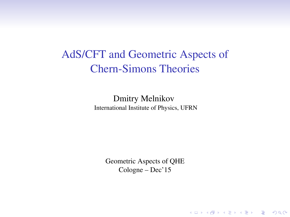# AdS/CFT and Geometric Aspects of Chern-Simons Theories

Dmitry Melnikov International Institute of Physics, UFRN

> Geometric Aspects of QHE Cologne – Dec'15

> > K ロ ▶ K @ ▶ K 할 > K 할 > 1 할 > 1 이익어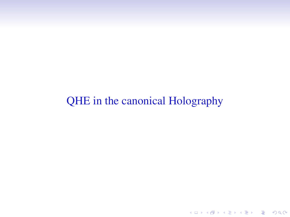# QHE in the canonical Holography

K ロ ▶ K @ ▶ K 할 ▶ K 할 ▶ | 할 | ⊙Q @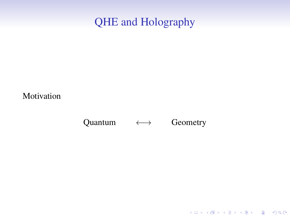# QHE and Holography

Motivation

#### Quantum  $\longleftrightarrow$  Geometry

K ロ ▶ K @ ▶ K 할 ▶ K 할 ▶ ... 할 ... 9 Q Q ·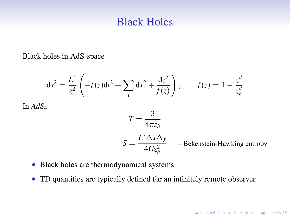### Black Holes

Black holes in AdS-space

$$
ds^{2} = \frac{L^{2}}{z^{2}} \left( -f(z)dt^{2} + \sum_{i} dx_{i}^{2} + \frac{dz^{2}}{f(z)} \right), \qquad f(z) = 1 - \frac{z^{d}}{z_{h}^{d}}
$$

In *AdS*<sup>4</sup>

$$
T=\frac{3}{4\pi z_h}
$$

$$
S = \frac{L^2 \Delta x \Delta y}{4Gz_h^2}
$$
 - Bekenstein-Hawking entropy

K ロ ▶ K @ ▶ K 할 ▶ K 할 ▶ ... 할 ... 9 Q Q ·

- Black holes are thermodynamical systems
- TD quantities are typically defined for an infinitely remote observer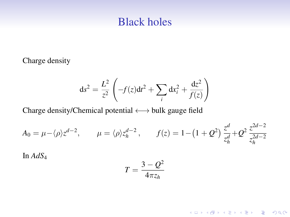#### Black holes

Charge density

$$
ds^{2} = \frac{L^{2}}{z^{2}} \left( -f(z)dt^{2} + \sum_{i} dx_{i}^{2} + \frac{dz^{2}}{f(z)} \right)
$$

Charge density/Chemical potential ←→ bulk gauge field

$$
A_0 = \mu - \langle \rho \rangle z^{d-2}, \qquad \mu = \langle \rho \rangle z_h^{d-2}, \qquad f(z) = 1 - \left(1 + Q^2\right) \frac{z^d}{z_h^d} + Q^2 \frac{z^{2d-2}}{z_h^{2d-2}}
$$

In *AdS*<sup>4</sup>

$$
T=\frac{3-Q^2}{4\pi z_h}
$$

**Kロトメ部トメミトメミト (ミ) のQC**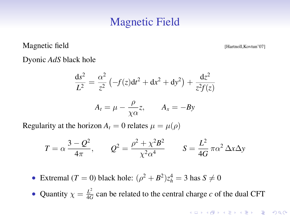### Magnetic Field

Magnetic field **[Hartnoll,Kovtun'07]** 

Dyonic *AdS* black hole

$$
\frac{ds^2}{L^2} = \frac{\alpha^2}{z^2} \left( -f(z)dt^2 + dx^2 + dy^2 \right) + \frac{dz^2}{z^2 f(z)}
$$

$$
A_t = \mu - \frac{\rho}{\chi \alpha} z, \qquad A_x = -By
$$

Regularity at the horizon  $A_t = 0$  relates  $\mu = \mu(\rho)$ 

$$
T = \alpha \frac{3 - Q^2}{4\pi}, \qquad Q^2 = \frac{\rho^2 + \chi^2 B^2}{\chi^2 \alpha^4} \qquad S = \frac{L^2}{4G} \pi \alpha^2 \Delta x \Delta y
$$

• Extremal (*T* = 0) black hole:  $(\rho^2 + B^2)z_h^4 = 3$  has  $S \neq 0$ 

• Quantity  $\chi = \frac{L^2}{4C}$  $\frac{L^2}{4G}$  can be related to the central charge *c* of the dual CFT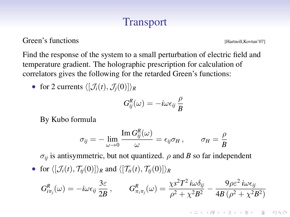## Transport

Green's functions [Hartnoll,Kovtun'07]

**KORKARYKERKE POLO** 

Find the response of the system to a small perturbation of electric field and temperature gradient. The holographic prescription for calculation of correlators gives the following for the retarded Green's functions:

• for 2 currents  $\langle [\mathcal{J}_i(t), \mathcal{J}_i(0)] \rangle_R$ 

$$
G_{ij}^{R}(\omega) = -i\omega\epsilon_{ij}\frac{\rho}{B}
$$

By Kubo formula

$$
\sigma_{ij} = -\lim_{\omega \to 0} \frac{\operatorname{Im} G_{ij}^R(\omega)}{\omega} = \epsilon_{ij} \sigma_H \,, \qquad \sigma_H = \frac{\rho}{B}
$$

 $\sigma_{ii}$  is antisymmetric, but not quantized.  $\rho$  and *B* so far independent

• for  $\langle [\mathcal{J}_i(t), \mathcal{T}_{ti}(0)] \rangle_R$  and  $\langle [\mathcal{T}_{ti}(t), \mathcal{T}_{ti}(0)] \rangle_R$ 

$$
G_{i\pi_j}^R(\omega) = -i\omega\epsilon_{ij}\frac{3\varepsilon}{2B}, \qquad G_{\pi_i\pi_j}^R(\omega) = \frac{\chi s^2 T^2 i\omega\delta_{ij}}{\rho^2 + \chi^2 B^2} - \frac{9\rho\varepsilon^2 i\omega\epsilon_{ij}}{4B(\rho^2 + \chi^2 B^2)}
$$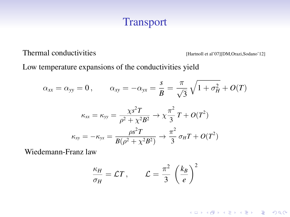### Transport

Thermal conductivities [Hartnoll et al'07][DM,Orazi,Sodano'12]

K ロ ▶ K @ ▶ K 할 ▶ K 할 ▶ ... 할 ... 9 Q Q ·

Low temperature expansions of the conductivities yield

$$
\alpha_{xx} = \alpha_{yy} = 0, \qquad \alpha_{xy} = -\alpha_{yx} = \frac{s}{B} = \frac{\pi}{\sqrt{3}} \sqrt{1 + \sigma_H^2} + O(T)
$$

$$
\kappa_{xx} = \kappa_{yy} = \frac{\chi s^2 T}{\rho^2 + \chi^2 B^2} \to \chi \frac{\pi^2}{3} T + O(T^2)
$$

$$
\kappa_{xy} = -\kappa_{yx} = \frac{\rho s^2 T}{B(\rho^2 + \chi^2 B^2)} \to \frac{\pi^2}{3} \sigma_H T + O(T^2)
$$

Wiedemann-Franz law

$$
\frac{\kappa_H}{\sigma_H} = \mathcal{L}T, \qquad \mathcal{L} = \frac{\pi^2}{3} \left(\frac{k_B}{e}\right)^2
$$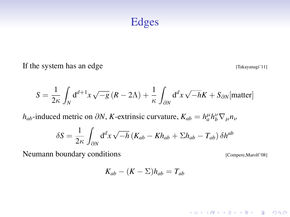#### Edges

If the system has an edge [Takayanagi'11]

$$
S = \frac{1}{2\kappa} \int_N d^{d+1}x \sqrt{-g} (R - 2\Lambda) + \frac{1}{\kappa} \int_{\partial N} d^d x \sqrt{-h} K + S_{\partial N}[\text{matter}]
$$

*h*<sub>*ab*</sub>-induced metric on  $\partial N$ , *K*-extrinsic curvature,  $K_{ab} = h_a^{\mu} h_b^{\nu} \nabla_{\mu} n_{\nu}$ 

$$
\delta S = \frac{1}{2\kappa} \int_{\partial N} d^d x \sqrt{-h} \left( K_{ab} - Kh_{ab} + \Sigma h_{ab} - T_{ab} \right) \delta h^{ab}
$$

Neumann boundary conditions [Compere, Marolf'08]

K ロ ▶ K @ ▶ K 할 ▶ K 할 ▶ ... 할 ... 9 Q Q ·

$$
K_{ab}-(K-\Sigma)h_{ab}=T_{ab}
$$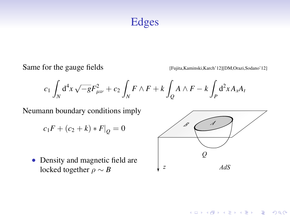### Edges

Same for the gauge fields [Fujita, Kaminski, Karch'12][DM, Orazi, Sodano'12]

$$
c_1\int_N \text{d}^4x \sqrt{-g} F_{\mu\nu}^2 + c_2\int_N F\wedge F + k\int_Q A\wedge F - k\int_P \text{d}^2x A_x A_t
$$

Neumann boundary conditions imply

$$
c_1F+(c_2+k)*F|_Q=0
$$

• Density and magnetic field are locked together  $\rho \sim B$ 



K ロ ▶ K @ ▶ K 할 ▶ K 할 ▶ (할 수 있다)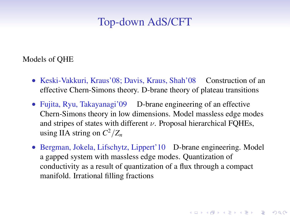### Top-down AdS/CFT

Models of QHE

- Keski-Vakkuri, Kraus'08; Davis, Kraus, Shah'08 Construction of an effective Chern-Simons theory. D-brane theory of plateau transitions
- Fujita, Ryu, Takayanagi'09 D-brane engineering of an effective Chern-Simons theory in low dimensions. Model massless edge modes and stripes of states with different  $\nu$ . Proposal hierarchical FOHEs, using IIA string on  $C^2/Z_n$
- Bergman, Jokela, Lifschytz, Lippert'10 D-brane engineering. Model a gapped system with massless edge modes. Quantization of conductivity as a result of quantization of a flux through a compact manifold. Irrational filling fractions

**A O A G A 4 O A C A G A 4 O A 4 O A C A**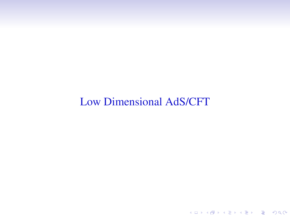# Low Dimensional AdS/CFT

K ロ K (日) K 경 K (동) K 경 (동) X (8)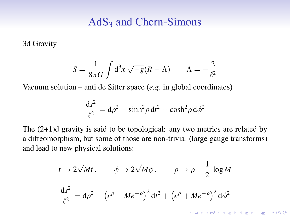3d Gravity

$$
S = \frac{1}{8\pi G} \int d^3x \sqrt{-g} (R - \Lambda) \qquad \Lambda = -\frac{2}{\ell^2}
$$

Vacuum solution – anti de Sitter space (*e.g.* in global coordinates)

$$
\frac{\mathrm{d}s^2}{\ell^2} = \mathrm{d}\rho^2 - \sinh^2\rho\,\mathrm{d}t^2 + \cosh^2\rho\,\mathrm{d}\phi^2
$$

The (2+1)d gravity is said to be topological: any two metrics are related by a diffeomorphism, but some of those are non-trivial (large gauge transforms) and lead to new physical solutions:

$$
t \to 2\sqrt{M}t, \qquad \phi \to 2\sqrt{M}\phi, \qquad \rho \to \rho - \frac{1}{2}\log M
$$

$$
\frac{ds^2}{\ell^2} = d\rho^2 - \left(e^{\rho} - Me^{-\rho}\right)^2 dt^2 + \left(e^{\rho} + Me^{-\rho}\right)^2 d\phi^2
$$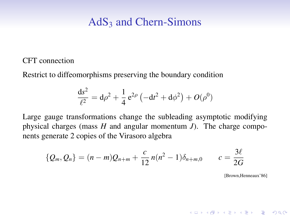CFT connection

Restrict to diffeomorphisms preserving the boundary condition

$$
\frac{ds^2}{\ell^2} = d\rho^2 + \frac{1}{4} e^{2\rho} \left( -dt^2 + d\phi^2 \right) + O(\rho^0)
$$

Large gauge transformations change the subleading asymptotic modifying physical charges (mass *H* and angular momentum *J*). The charge components generate 2 copies of the Virasoro algebra

$$
\{Q_m, Q_n\} = (n-m)Q_{n+m} + \frac{c}{12}n(n^2-1)\delta_{n+m,0} \qquad c = \frac{3\ell}{2G}
$$

[Brown,Henneaux'86]

**KORKARYKERKE POLO**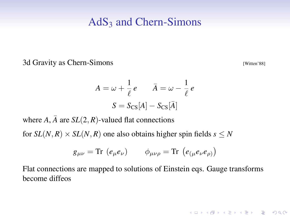3d Gravity as Chern-Simons [Witten'88]

**KID KINK VEX KEX NE YORCH** 

$$
A = \omega + \frac{1}{\ell} e \qquad \bar{A} = \omega - \frac{1}{\ell} e
$$

$$
S = S_{\text{CS}}[A] - S_{\text{CS}}[\bar{A}]
$$

where  $A$ ,  $\overline{A}$  are  $SL(2, R)$ -valued flat connections

for  $SL(N, R) \times SL(N, R)$  one also obtains higher spin fields  $s \leq N$ 

$$
g_{\mu\nu} = \text{Tr} \, (e_{\mu} e_{\nu}) \qquad \phi_{\mu\nu\rho} = \text{Tr} \, (e_{(\mu} e_{\nu} e_{\rho)})
$$

Flat connections are mapped to solutions of Einstein eqs. Gauge transforms become diffeos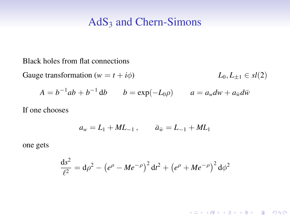Black holes from flat connections

Gauge transformation  $(w = t + i\phi)$   $L_0, L_{+1} \in sl(2)$ 

*A* =  $b^{-1}ab + b^{-1}db$  *b* = exp(-*L*<sub>0</sub> $\rho$ ) *a* =  $a_w dw + a_{\bar{w}}d\bar{w}$ 

If one chooses

$$
a_w = L_1 + ML_{-1}, \qquad \bar{a}_{\bar{w}} = L_{-1} + ML_1
$$

one gets

$$
\frac{ds^2}{\ell^2} = d\rho^2 - (e^{\rho} - Me^{-\rho})^2 dt^2 + (e^{\rho} + Me^{-\rho})^2 d\phi^2
$$

K ロ ▶ K @ ▶ K 할 > K 할 > 1 할 > 1 이익어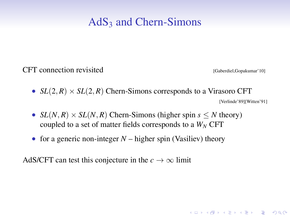CFT connection revisited Gaberdiel,Gopakumar'10]

**KORKARYKERKE POLO** 

- $SL(2, R) \times SL(2, R)$  Chern-Simons corresponds to a Virasoro CFT [Verlinde'89][Witten'91]
- *SL*(*N*, *R*)  $\times$  *SL*(*N*, *R*) Chern-Simons (higher spin *s*  $\leq$  *N* theory) coupled to a set of matter fields corresponds to a  $W_N$  CFT
- for a generic non-integer  $N$  higher spin (Vasiliev) theory

AdS/CFT can test this conjecture in the  $c \to \infty$  limit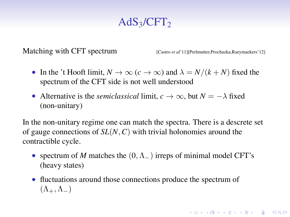Matching with CFT spectrum [Castro *et al'* 11][Perlmutter, Prochazka, Raeymaekers' 12]

**KORKARYKERKE POLO** 

- In the 't Hooft limit,  $N \to \infty$  ( $c \to \infty$ ) and  $\lambda = N/(k+N)$  fixed the spectrum of the CFT side is not well understood
- Alternative is the *semiclassical* limit,  $c \to \infty$ , but  $N = -\lambda$  fixed (non-unitary)

In the non-unitary regime one can match the spectra. There is a descrete set of gauge connections of *SL*(*N*, *C*) with trivial holonomies around the contractible cycle.

- spectrum of *M* matches the  $(0, \Lambda_{-})$  irreps of minimal model CFT's (heavy states)
- fluctuations around those connections produce the spectrum of  $(\Lambda_+, \Lambda_-)$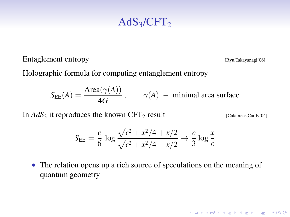Entaglement entropy [Ryu,Takayanagi'06]

Holographic formula for computing entanglement entropy

 $S_{EE}(A) = \frac{\text{Area}(\gamma(A))}{4G}$ ,  $\gamma(A)$  – minimal area surface

In  $AdS_3$  it reproduces the known  $CFT_2$  result [Calabrese,Cardy'04]

**KID KINK VEX KEX NE YORCH** 

$$
S_{\rm EE} = \frac{c}{6} \log \frac{\sqrt{\epsilon^2 + x^2/4} + x/2}{\sqrt{\epsilon^2 + x^2/4} - x/2} \rightarrow \frac{c}{3} \log \frac{x}{\epsilon}
$$

• The relation opens up a rich source of speculations on the meaning of quantum geometry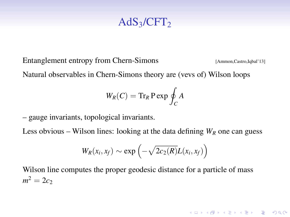Entanglement entropy from Chern-Simons [Ammon,Castro,Iqbal'13]

Natural observables in Chern-Simons theory are (vevs of) Wilson loops

$$
W_R(C) = \operatorname{Tr}_R \operatorname{P} \exp \oint_C A
$$

– gauge invariants, topological invariants.

Less obvious – Wilson lines: looking at the data defining  $W_R$  one can guess

$$
W_R(x_i,x_f) \sim \exp\left(-\sqrt{2c_2(R)}L(x_i,x_f)\right)
$$

Wilson line computes the proper geodesic distance for a particle of mass  $m^2 = 2c_2$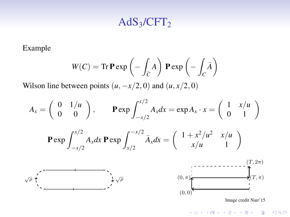Example

$$
W(C) = \text{Tr} \, \mathbf{P} \exp \left(-\int_{\overline{C}} A\right) \, \mathbf{P} \exp \left(-\int_{C} \overline{A}\right)
$$

Wilson line between points  $(u, -x/2, 0)$  and  $(u, x/2, 0)$ 

$$
A_x = \begin{pmatrix} 0 & 1/u \\ 0 & 0 \end{pmatrix}, \qquad \mathbf{P} \exp \int_{-x/2}^{x/2} A_x dx = \exp A_x \cdot x = \begin{pmatrix} 1 & x/u \\ 0 & 1 \end{pmatrix}
$$

$$
\mathbf{P} \exp \int_{-x/2}^{x/2} A_x dx \mathbf{P} \exp \int_{x/2}^{-x/2} \bar{A}_x dx = \begin{pmatrix} 1 + x^2/u^2 & x/u \\ x/u & 1 \end{pmatrix}
$$

$$
\sqrt{\rho} \underbrace{\sqrt{\rho} \underbrace{\sqrt{\rho} \underbrace{\sqrt{\rho} \underbrace{\sqrt{\rho} \underbrace{\sqrt{\rho} \underbrace{\sqrt{\rho} \underbrace{\sqrt{\rho} \underbrace{\sqrt{\rho} \underbrace{\sqrt{\rho} \underbrace{\sqrt{\rho} \underbrace{\sqrt{\rho} \underbrace{\sqrt{\rho} \underbrace{\sqrt{\rho} \underbrace{\sqrt{\rho} \underbrace{\sqrt{\rho} \underbrace{\sqrt{\rho} \underbrace{\sqrt{\rho} \underbrace{\sqrt{\rho} \underbrace{\sqrt{\rho} \underbrace{\sqrt{\rho} \underbrace{\sqrt{\rho} \underbrace{\sqrt{\rho} \underbrace{\sqrt{\rho} \underbrace{\sqrt{\rho} \underbrace{\sqrt{\rho} \underbrace{\sqrt{\rho} \underbrace{\sqrt{\rho} \underbrace{\sqrt{\rho} \underbrace{\sqrt{\rho} \underbrace{\sqrt{\rho} \underbrace{\sqrt{\rho} \underbrace{\sqrt{\rho} \underbrace{\sqrt{\rho} \underbrace{\sqrt{\rho} \underbrace{\sqrt{\rho} \underbrace{\sqrt{\rho} \underbrace{\sqrt{\rho} \underbrace{\sqrt{\rho} \underbrace{\sqrt{\rho} \underbrace{\sqrt{\rho} \underbrace{\sqrt{\rho} \underbrace{\sqrt{\rho} \underbrace{\sqrt{\rho} \underbrace{\sqrt{\rho} \underbrace{\sqrt{\rho} \underbrace{\sqrt{\rho} \underbrace{\sqrt{\rho} \underbrace{\sqrt{\rho} \underbrace{\sqrt{\rho} \underbrace{\sqrt{\rho} \underbrace{\sqrt{\rho} \underbrace{\sqrt{\rho} \underbrace{\sqrt{\rho} \underbrace{\sqrt{\rho} \underbrace{\sqrt{\rho} \underbrace{\sqrt{\rho} \underbrace{\sqrt{\rho} \underbrace{\sqrt{\rho} \underbrace{\sqrt{\rho} \underbrace{\sqrt{\rho} \underbrace{\sqrt{\rho} \underbrace{\sqrt{\rho} \underbrace{\sqrt{\rho} \underbrace{\sqrt{\rho} \underbrace{\sqrt{\rho} \underbrace{\sqrt{\rho} \underbrace{\sqrt{\rho} \underbrace{\sqrt{\rho} \underbrace{\sqrt{\rho} \underbrace{\sqrt{\rho} \underbrace{\sqrt{\rho} \underbrace{\sqrt{\
$$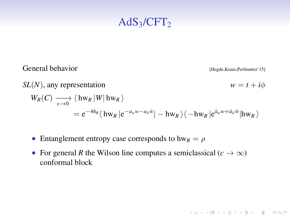General behavior **[Hegde,Kraus,Perlmutter'15]** 

**KORKARYKERKE POLO** 

*SL*(*N*), any representation *w* =  $t + i\phi$  $W_R(C) \longrightarrow \langle \text{hw}_R | W | \text{hw}_R \rangle$  $= \mathrm{e}^{-4h_R} \langle \left.\mathrm{hw}_R\left| \mathrm{e}^{-a_w w - a_{\widetilde{w}} \bar{w}} \right| - \mathrm{hw}_R \left.\right\rangle\langle \left.-\mathrm{hw}_R\left| \mathrm{e}^{\bar{a}_w w + \bar{a}_{\widetilde{w}} \bar{w}} \right| \mathrm{hw}_R \left.\right\rangle\right\rangle$ 

- Entanglement entropy case corresponds to  $hw_R = \rho$
- For general *R* the Wilson line computes a semiclassical ( $c \to \infty$ ) conformal block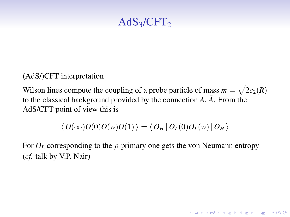(AdS/)CFT interpretation

Wilson lines compute the coupling of a probe particle of mass  $m = \sqrt{2c_2(R)}$ to the classical background provided by the connection  $\overline{A}$ ,  $\overline{A}$ . From the AdS/CFT point of view this is

$$
\langle O(\infty)O(0)O(w)O(1)\rangle = \langle O_H | O_L(0)O_L(w) | O_H \rangle
$$

For  $O_L$  corresponding to the  $\rho$ -primary one gets the von Neumann entropy (*cf.* talk by V.P. Nair)

**KORKARYKERKE POLO**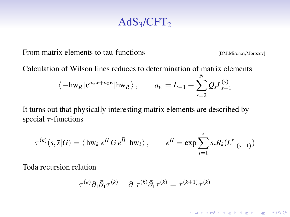From matrix elements to tau-functions [DM,Mironov,Morozov]

**KORKARYKERKE POLO** 

Calculation of Wilson lines reduces to determination of matrix elements

$$
\langle -hw_R | e^{a_w w + a_{\overline{w}} \overline{w}} |hw_R \rangle
$$
,  $a_w = L_{-1} + \sum_{s=2}^N Q_s L_{s-1}^{(s)}$ 

It turns out that physically interesting matrix elements are described by special  $\tau$ -functions

$$
\tau^{(k)}(s,\bar{s}|G) = \langle \mathop{\mathrm{hw}}\nolimits_k | e^H G e^{\bar{H}} | \mathop{\mathrm{hw}}\nolimits_k \rangle, \qquad e^H = \exp \sum_{i=1}^s s_s R_k (L_{-(s-1)}^s)
$$

Toda recursion relation

$$
\tau^{(k)}\partial_1\bar{\partial}_1\tau^{(k)}-\partial_1\tau^{(k)}\bar{\partial}_1\tau^{(k)}=\tau^{(k+1)}\tau^{(k)}
$$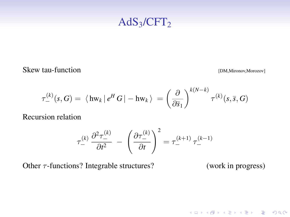Skew tau-function [DM,Mironov,Morozov]

K ロ ▶ K @ ▶ K 할 > K 할 > 1 할 > 1 이익어

$$
\tau_-^{(k)}(s, G) = \langle \mathrm{hw}_k | e^H G | - \mathrm{hw}_k \rangle = \left( \frac{\partial}{\partial \overline{s}_1} \right)^{k(N-k)} \tau^{(k)}(s, \overline{s}, G)
$$

Recursion relation

$$
\tau_{-}^{(k)} \frac{\partial^2 \tau_{-}^{(k)}}{\partial t^2} - \left(\frac{\partial \tau_{-}^{(k)}}{\partial t}\right)^2 = \tau_{-}^{(k+1)} \tau_{-}^{(k-1)}
$$

Other  $\tau$ -functions? Integrable structures? (work in progress)